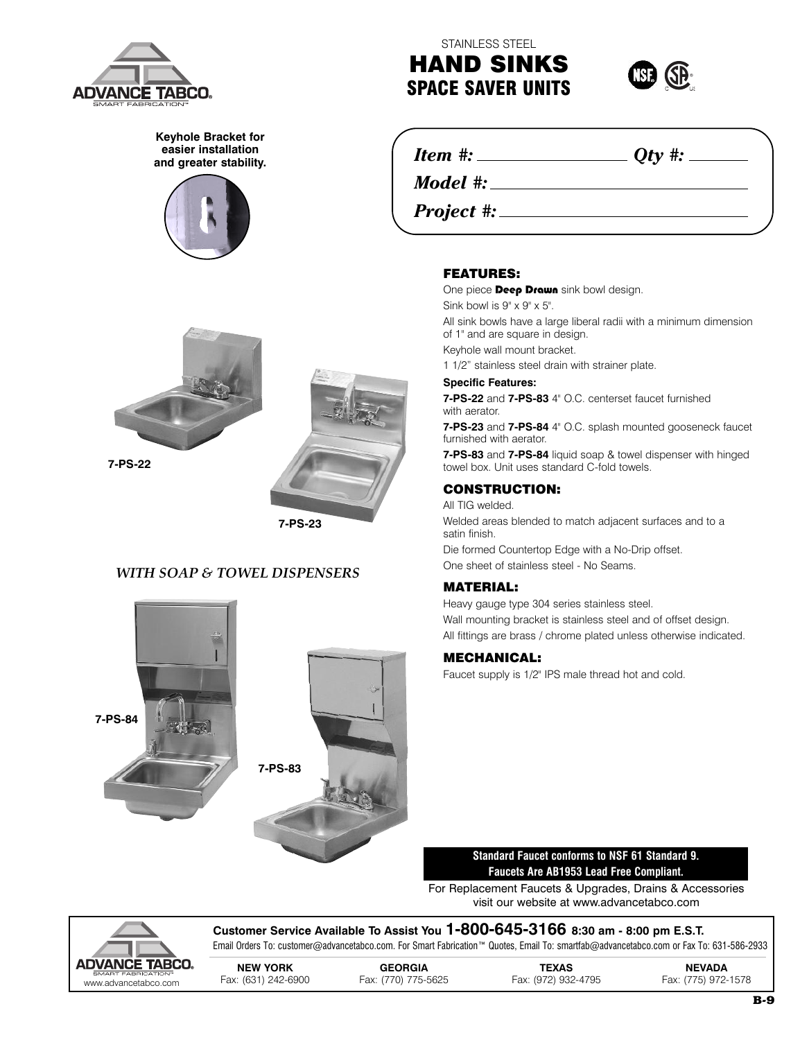

**Keyhole Bracket for easier installation and greater stability.**





**7-PS-23**

# *WITH SOAP & TOWEL DISPENSERS*



**HAND SINKS SPACE SAVER UNITS**

STAINLESS STEEL



*Item #: Qty #:*

*Model #:*

*Project #:*

### **FEATURES:**

One piece **Deep Drawn** sink bowl design.

Sink bowl is 9" x 9" x 5".

All sink bowls have a large liberal radii with a minimum dimension of 1" and are square in design.

Keyhole wall mount bracket.

1 1/2" stainless steel drain with strainer plate.

#### **Specific Features:**

**7-PS-22** and **7-PS-83** 4" O.C. centerset faucet furnished with aerator.

**7-PS-23** and **7-PS-84** 4" O.C. splash mounted gooseneck faucet furnished with aerator.

**7-PS-83** and **7-PS-84** liquid soap & towel dispenser with hinged towel box. Unit uses standard C-fold towels.

### **CONSTRUCTION:**

All TIG welded.

Welded areas blended to match adjacent surfaces and to a satin finish.

Die formed Countertop Edge with a No-Drip offset. One sheet of stainless steel - No Seams.

# **MATERIAL:**

Heavy gauge type 304 series stainless steel. Wall mounting bracket is stainless steel and of offset design. All fittings are brass / chrome plated unless otherwise indicated.

#### **MECHANICAL:**

Faucet supply is 1/2" IPS male thread hot and cold.

**Standard Faucet conforms to NSF 61 Standard 9. Faucets Are AB1953 Lead Free Compliant.**

For Replacement Faucets & Upgrades, Drains & Accessories visit our website at www.advancetabco.com



**Customer Service Available To Assist You 1-800-645-3166 8:30 am - 8:00 pm E.S.T.** Email Orders To: customer@advancetabco.com. For Smart Fabrication™ Quotes, Email To: smartfab@advancetabco.com or Fax To: 631-586-2933

**NEW YORK GEORGIA TEXAS NEVADA** www.advante-abducations" Fax: (631) 242-6900 Fax: (770) 775-5625 Fax: (972) 932-4795 Fax: (775) 972-1578